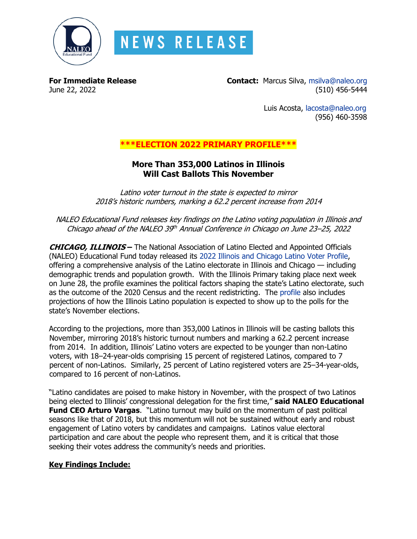

# **NEWS RELEASE**

**For Immediate Release Contact:** Marcus Silva, [msilva@naleo.org](mailto:msilva@naleo.org) June 22, 2022 (510) 456-5444

> Luis Acosta, [lacosta@naleo.org](mailto:lacosta@naleo.org) (956) 460-3598

# **\*\*\*ELECTION 2022 PRIMARY PROFILE\*\*\***

## **More Than 353,000 Latinos in Illinois Will Cast Ballots This November**

Latino voter turnout in the state is expected to mirror 2018's historic numbers, marking a 62.2 percent increase from 2014

NALEO Educational Fund releases key findings on the Latino voting population in Illinois and Chicago ahead of the NALEO 39th Annual Conference in Chicago on June 23–25, 2022

**CHICAGO, ILLINOIS –** The National Association of Latino Elected and Appointed Officials (NALEO) Educational Fund today released its [2022 Illinois and Chicago Latino Voter Profile,](https://bit.ly/IL22PrimaryProfile) offering a comprehensive analysis of the Latino electorate in Illinois and Chicago — including demographic trends and population growth. With the Illinois Primary taking place next week on June 28, the profile examines the political factors shaping the state's Latino electorate, such as the outcome of the 2020 Census and the recent redistricting. The [profile](https://bit.ly/IL22PrimaryProfile) also includes projections of how the Illinois Latino population is expected to show up to the polls for the state's November elections.

According to the projections, more than 353,000 Latinos in Illinois will be casting ballots this November, mirroring 2018's historic turnout numbers and marking a 62.2 percent increase from 2014. In addition, Illinois' Latino voters are expected to be younger than non-Latino voters, with 18–24-year-olds comprising 15 percent of registered Latinos, compared to 7 percent of non-Latinos. Similarly, 25 percent of Latino registered voters are 25–34-year-olds, compared to 16 percent of non-Latinos.

"Latino candidates are poised to make history in November, with the prospect of two Latinos being elected to Illinois' congressional delegation for the first time," **said NALEO Educational Fund CEO Arturo Vargas**. "Latino turnout may build on the momentum of past political seasons like that of 2018, but this momentum will not be sustained without early and robust engagement of Latino voters by candidates and campaigns. Latinos value electoral participation and care about the people who represent them, and it is critical that those seeking their votes address the community's needs and priorities.

## **Key Findings Include:**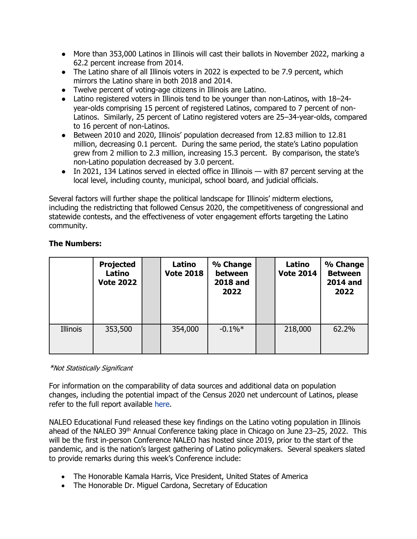- More than 353,000 Latinos in Illinois will cast their ballots in November 2022, marking a 62.2 percent increase from 2014.
- The Latino share of all Illinois voters in 2022 is expected to be 7.9 percent, which mirrors the Latino share in both 2018 and 2014.
- Twelve percent of voting-age citizens in Illinois are Latino.
- Latino registered voters in Illinois tend to be younger than non-Latinos, with 18–24 year-olds comprising 15 percent of registered Latinos, compared to 7 percent of non-Latinos. Similarly, 25 percent of Latino registered voters are 25–34-year-olds, compared to 16 percent of non-Latinos.
- Between 2010 and 2020, Illinois' population decreased from 12.83 million to 12.81 million, decreasing 0.1 percent. During the same period, the state's Latino population grew from 2 million to 2.3 million, increasing 15.3 percent. By comparison, the state's non-Latino population decreased by 3.0 percent.
- In 2021, 134 Latinos served in elected office in Illinois with 87 percent serving at the local level, including county, municipal, school board, and judicial officials.

Several factors will further shape the political landscape for Illinois' midterm elections, including the redistricting that followed Census 2020, the competitiveness of congressional and statewide contests, and the effectiveness of voter engagement efforts targeting the Latino community.

|          | <b>Projected</b><br>Latino<br><b>Vote 2022</b> | Latino<br><b>Vote 2018</b> | % Change<br>between<br><b>2018 and</b><br>2022 | Latino<br><b>Vote 2014</b> | % Change<br><b>Between</b><br><b>2014 and</b><br>2022 |
|----------|------------------------------------------------|----------------------------|------------------------------------------------|----------------------------|-------------------------------------------------------|
| Illinois | 353,500                                        | 354,000                    | $-0.1\%$ <sup>*</sup>                          | 218,000                    | 62.2%                                                 |

## **The Numbers:**

#### \*Not Statistically Significant

For information on the comparability of data sources and additional data on population changes, including the potential impact of the Census 2020 net undercount of Latinos, please refer to the full report available [here.](https://bit.ly/IL22PrimaryProfile)

NALEO Educational Fund released these key findings on the Latino voting population in Illinois ahead of the NALEO 39<sup>th</sup> Annual Conference taking place in Chicago on June 23-25, 2022. This will be the first in-person Conference NALEO has hosted since 2019, prior to the start of the pandemic, and is the nation's largest gathering of Latino policymakers. Several speakers slated to provide remarks during this week's Conference include:

- The Honorable Kamala Harris, Vice President, United States of America
- The Honorable Dr. Miguel Cardona, Secretary of Education